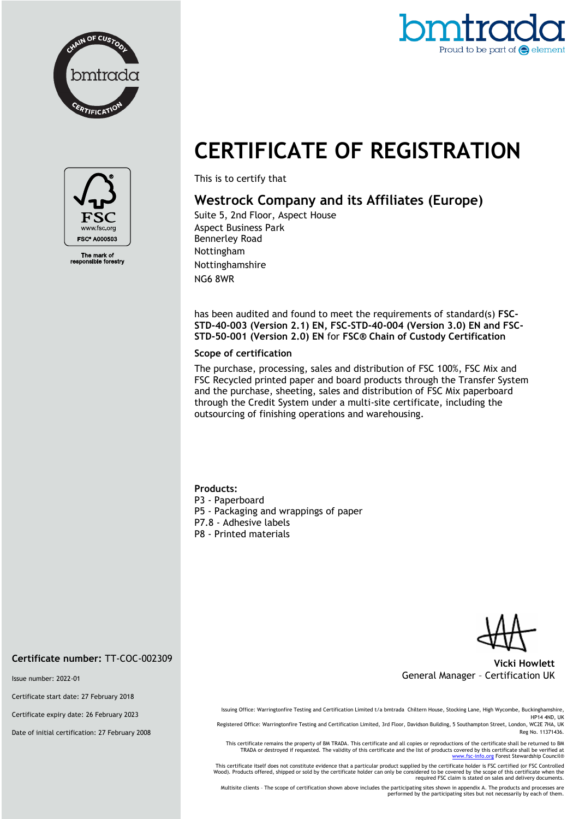



## **CERTIFICATE OF REGISTRATION**



The mark of<br>ponsible fore

This is to certify that

## **Westrock Company and its Affiliates (Europe)**

Suite 5, 2nd Floor, Aspect House Aspect Business Park Bennerley Road Nottingham Nottinghamshire NG6 8WR

has been audited and found to meet the requirements of standard(s) **FSC-STD-40-003 (Version 2.1) EN, FSC-STD-40-004 (Version 3.0) EN and FSC-STD-50-001 (Version 2.0) EN** for **FSC® Chain of Custody Certification**

## **Scope of certification**

The purchase, processing, sales and distribution of FSC 100%, FSC Mix and FSC Recycled printed paper and board products through the Transfer System and the purchase, sheeting, sales and distribution of FSC Mix paperboard through the Credit System under a multi-site certificate, including the outsourcing of finishing operations and warehousing.

**Products:** P3 - Paperboard P5 - Packaging and wrappings of paper P7.8 - Adhesive labels P8 - Printed materials

**Vicki Howlett** General Manager – Certification UK

Issue number: 2022-01

**Certificate number:** TT-COC-002309

Certificate start date: 27 February 2018

Certificate expiry date: 26 February 2023

Date of initial certification: 27 February 2008

Issuing Office: Warringtonfire Testing and Certification Limited t/a bmtrada Chiltern House, Stocking Lane, High Wycombe, Buckinghamshire, HP14 4ND, UK

Registered Office: Warringtonfire Testing and Certification Limited, 3rd Floor, Davidson Building, 5 Southampton Street, London, WC2E 7HA, UK Reg No. 11371436.

This certificate remains the property of BM TRADA. This certificate and all copies or reproductions of the certificate shall be returned to BM TRADA or destroyed if requested. The validity of this certificate and the list of products covered by this certificate shall be verified at<br>[www.fsc-info.org](http://www.fsc-info.org/) Forest Stewardship Council®

This certificate itself does not constitute evidence that a particular product supplied by the certificate holder is FSC certified (or FSC Controlled<br>Wood). Products offered, shipped or sold by the certificate holder can o

Multisite clients – The scope of certification shown above includes the participating sites shown in appendix A. The products and processes are performed by the participating sites but not necessarily by each of them.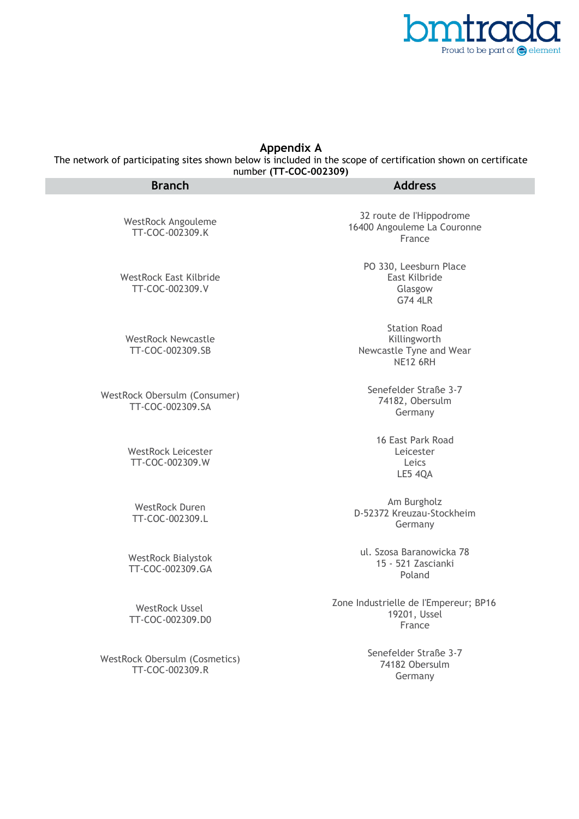

## **Appendix A**

The network of participating sites shown below is included in the scope of certification shown on certificate number **(TT-COC-002309)**

| <b>Branch</b>                                    | <b>Address</b>                                                                    |
|--------------------------------------------------|-----------------------------------------------------------------------------------|
| WestRock Angouleme<br>TT-COC-002309.K            | 32 route de l'Hippodrome<br>16400 Angouleme La Couronne<br>France                 |
| <b>WestRock East Kilbride</b><br>TT-COC-002309.V | PO 330, Leesburn Place<br>East Kilbride<br>Glasgow<br><b>G74 4LR</b>              |
| <b>WestRock Newcastle</b><br>TT-COC-002309.SB    | <b>Station Road</b><br>Killingworth<br>Newcastle Tyne and Wear<br><b>NE12 6RH</b> |
| WestRock Obersulm (Consumer)<br>TT-COC-002309.SA | Senefelder Straße 3-7<br>74182, Obersulm<br>Germany                               |
| <b>WestRock Leicester</b><br>TT-COC-002309.W     | 16 East Park Road<br>Leicester<br>Leics<br>LE5 4QA                                |
| <b>WestRock Duren</b><br>TT-COC-002309.L         | Am Burgholz<br>D-52372 Kreuzau-Stockheim<br>Germany                               |
| <b>WestRock Bialystok</b><br>TT-COC-002309.GA    | ul. Szosa Baranowicka 78<br>15 - 521 Zascianki<br>Poland                          |
| <b>WestRock Ussel</b><br>TT-COC-002309.D0        | Zone Industrielle de l'Empereur; BP16<br>19201, Ussel<br>France                   |
| WestRock Obersulm (Cosmetics)<br>TT-COC-002309.R | Senefelder Straße 3-7<br>74182 Obersulm<br>Germany                                |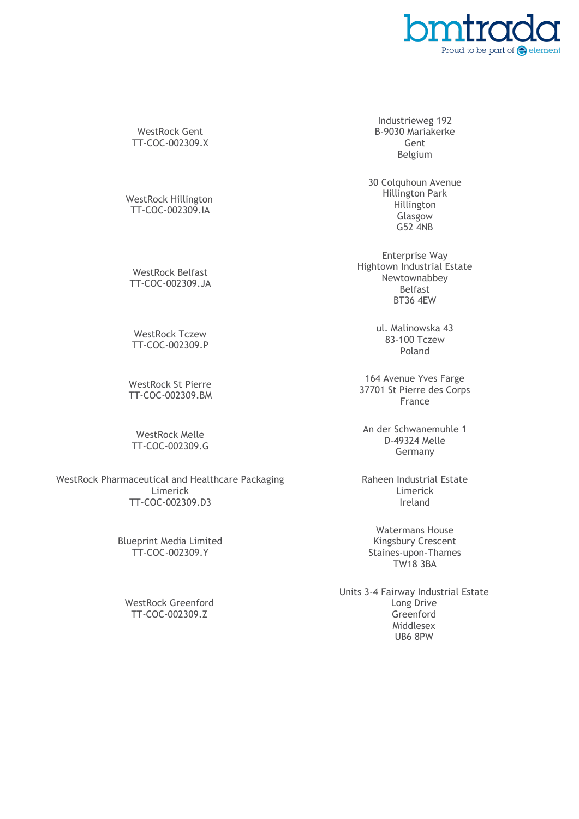

WestRock Gent TT-COC-002309.X

WestRock Hillington TT-COC-002309.IA

WestRock Belfast TT-COC-002309.JA

WestRock Tczew TT-COC-002309.P

WestRock St Pierre TT-COC-002309.BM

WestRock Melle TT-COC-002309.G

WestRock Pharmaceutical and Healthcare Packaging Limerick TT-COC-002309.D3

> Blueprint Media Limited TT-COC-002309.Y

WestRock Greenford TT-COC-002309.Z

Industrieweg 192 B-9030 Mariakerke Gent Belgium

30 Colquhoun Avenue Hillington Park Hillington Glasgow G52 4NB

Enterprise Way Hightown Industrial Estate Newtownabbey Belfast BT36 4EW

> ul. Malinowska 43 83-100 Tczew Poland

164 Avenue Yves Farge 37701 St Pierre des Corps France

An der Schwanemuhle 1 D-49324 Melle Germany

Raheen Industrial Estate Limerick Ireland

Watermans House Kingsbury Crescent Staines-upon-Thames TW18 3BA

Units 3-4 Fairway Industrial Estate Long Drive Greenford Middlesex UB6 8PW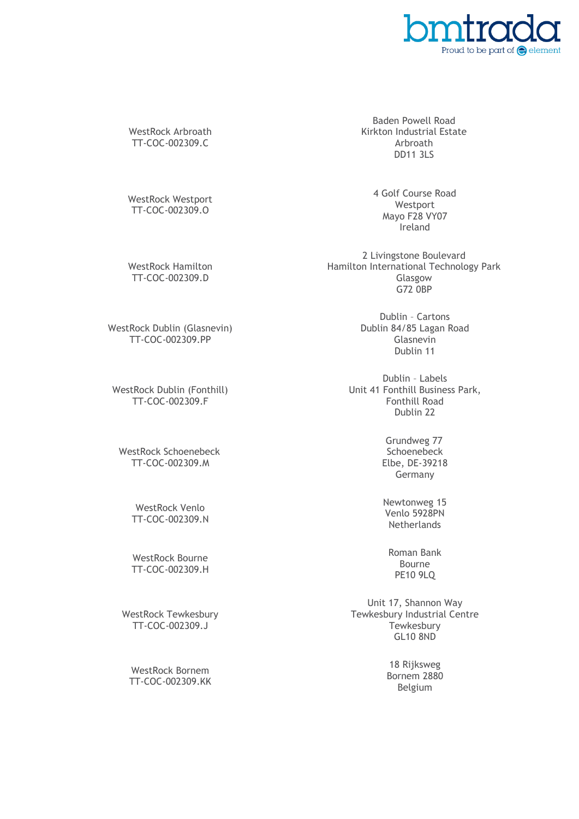

WestRock Arbroath TT-COC-002309.C

WestRock Westport TT-COC-002309.O

WestRock Hamilton TT-COC-002309.D

WestRock Dublin (Glasnevin) TT-COC-002309.PP

WestRock Dublin (Fonthill) TT-COC-002309.F

WestRock Schoenebeck TT-COC-002309.M

> WestRock Venlo TT-COC-002309.N

> WestRock Bourne TT-COC-002309.H

WestRock Tewkesbury TT-COC-002309.J

WestRock Bornem TT-COC-002309.KK

Baden Powell Road Kirkton Industrial Estate Arbroath DD11 3LS

> 4 Golf Course Road Westport Mayo F28 VY07 Ireland

2 Livingstone Boulevard Hamilton International Technology Park Glasgow G72 0BP

> Dublin – Cartons Dublin 84/85 Lagan Road Glasnevin Dublin 11

Dublin – Labels Unit 41 Fonthill Business Park, Fonthill Road Dublin 22

> Grundweg 77 Schoenebeck Elbe, DE-39218 Germany

Newtonweg 15 Venlo 5928PN **Netherlands** 

Roman Bank Bourne PE10 9LQ

Unit 17, Shannon Way Tewkesbury Industrial Centre **Tewkesbury** GL10 8ND

> 18 Rijksweg Bornem 2880 Belgium